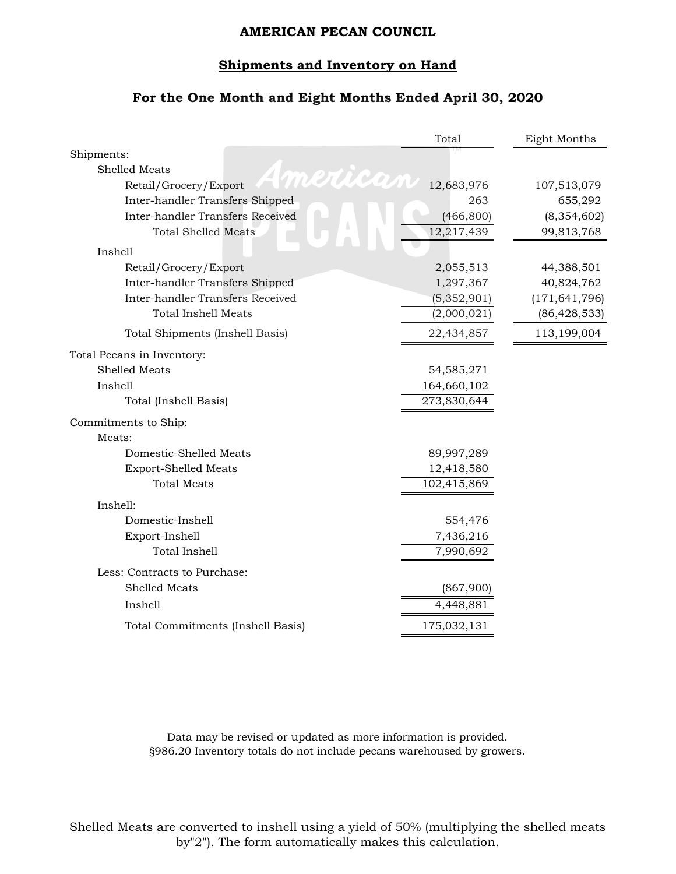# **Shipments and Inventory on Hand**

### **For the One Month and Eight Months Ended April 30, 2020**

|                                         | Total       | Eight Months    |
|-----------------------------------------|-------------|-----------------|
| Shipments:                              |             |                 |
| <b>Shelled Meats</b><br>merica          |             |                 |
| Retail/Grocery/Export                   | 12,683,976  | 107,513,079     |
| Inter-handler Transfers Shipped         | 263         | 655,292         |
| <b>Inter-handler Transfers Received</b> | (466, 800)  | (8, 354, 602)   |
| <b>Total Shelled Meats</b>              | 12,217,439  | 99,813,768      |
| Inshell                                 |             |                 |
| Retail/Grocery/Export                   | 2,055,513   | 44,388,501      |
| Inter-handler Transfers Shipped         | 1,297,367   | 40,824,762      |
| Inter-handler Transfers Received        | (5,352,901) | (171, 641, 796) |
| <b>Total Inshell Meats</b>              | (2,000,021) | (86, 428, 533)  |
| Total Shipments (Inshell Basis)         | 22,434,857  | 113,199,004     |
| Total Pecans in Inventory:              |             |                 |
| Shelled Meats                           | 54,585,271  |                 |
| Inshell                                 | 164,660,102 |                 |
| Total (Inshell Basis)                   | 273,830,644 |                 |
| Commitments to Ship:                    |             |                 |
| Meats:                                  |             |                 |
| Domestic-Shelled Meats                  | 89,997,289  |                 |
| <b>Export-Shelled Meats</b>             | 12,418,580  |                 |
| <b>Total Meats</b>                      | 102,415,869 |                 |
| Inshell:                                |             |                 |
| Domestic-Inshell                        | 554,476     |                 |
| Export-Inshell                          | 7,436,216   |                 |
| <b>Total Inshell</b>                    | 7,990,692   |                 |
| Less: Contracts to Purchase:            |             |                 |
| <b>Shelled Meats</b>                    | (867,900)   |                 |
| Inshell                                 | 4,448,881   |                 |
| Total Commitments (Inshell Basis)       | 175,032,131 |                 |
|                                         |             |                 |

Data may be revised or updated as more information is provided. §986.20 Inventory totals do not include pecans warehoused by growers.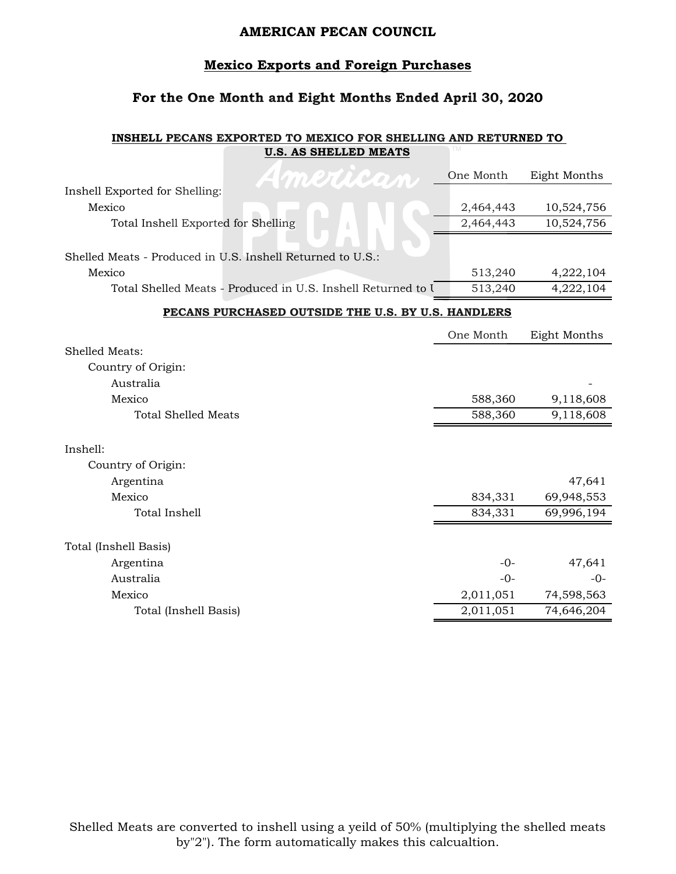### **Mexico Exports and Foreign Purchases**

# **For the One Month and Eight Months Ended April 30, 2020**

#### **INSHELL PECANS EXPORTED TO MEXICO FOR SHELLING AND RETURNED TO U.S. AS SHELLED MEATS**

| American                                                     | One Month | Eight Months |
|--------------------------------------------------------------|-----------|--------------|
| Inshell Exported for Shelling:                               |           |              |
| Mexico                                                       | 2,464,443 | 10,524,756   |
| Total Inshell Exported for Shelling                          | 2,464,443 | 10,524,756   |
|                                                              |           |              |
| Shelled Meats - Produced in U.S. Inshell Returned to U.S.:   |           |              |
| Mexico                                                       | 513,240   | 4,222,104    |
| Total Shelled Meats - Produced in U.S. Inshell Returned to I | 513,240   | 4,222,104    |
| PECANS PURCHASED OUTSIDE THE U.S. BY U.S. HANDLERS           |           |              |
|                                                              | One Month | Eight Months |
| Shelled Meats:                                               |           |              |
| Country of Origin:                                           |           |              |
| Australia                                                    |           |              |
| Mexico                                                       | 588,360   | 9,118,608    |
| <b>Total Shelled Meats</b>                                   | 588,360   | 9,118,608    |
|                                                              |           |              |
| Inshell:                                                     |           |              |
| Country of Origin:                                           |           |              |
| Argentina                                                    |           | 47,641       |
| Mexico                                                       | 834,331   | 69,948,553   |
| Total Inshell                                                | 834,331   | 69,996,194   |
|                                                              |           |              |
| Total (Inshell Basis)                                        |           |              |
| Argentina                                                    | $-0-$     | 47,641       |
| Australia                                                    | $-0-$     | $-0-$        |
| Mexico                                                       | 2,011,051 | 74,598,563   |
| Total (Inshell Basis)                                        | 2,011,051 | 74,646,204   |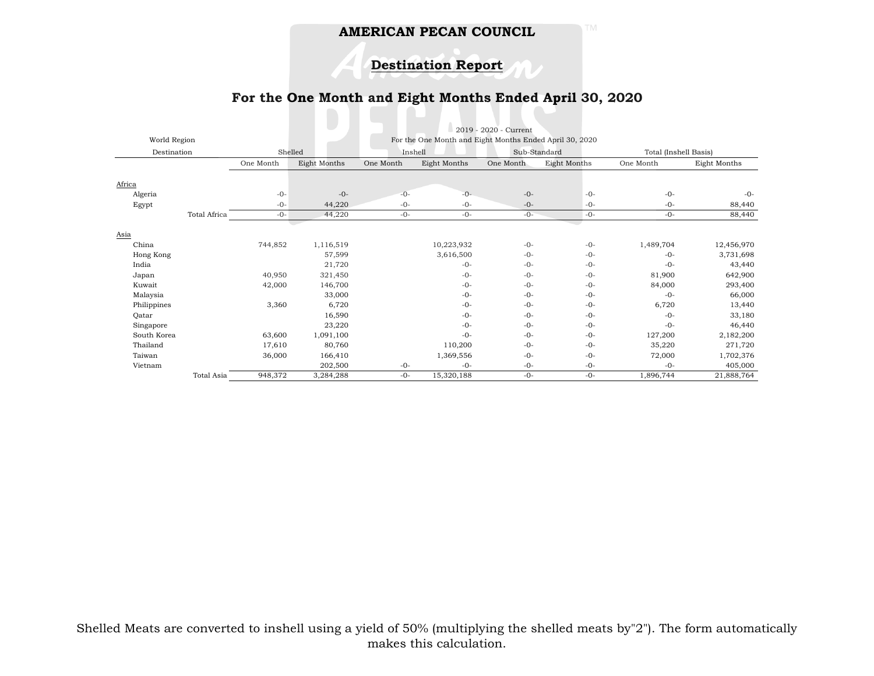**Destination Report**

# **For the One Month and Eight Months Ended April 30, 2020**

|              |                              |                                                         |           |              | 2019 - 2020 - Current |                     |           |                       |  |
|--------------|------------------------------|---------------------------------------------------------|-----------|--------------|-----------------------|---------------------|-----------|-----------------------|--|
| World Region |                              | For the One Month and Eight Months Ended April 30, 2020 |           |              |                       |                     |           |                       |  |
| Destination  |                              | Shelled                                                 | Inshell   |              | Sub-Standard          |                     |           | Total (Inshell Basis) |  |
|              | One Month                    | Eight Months                                            | One Month | Eight Months | One Month             | <b>Eight Months</b> | One Month | Eight Months          |  |
|              |                              |                                                         |           |              |                       |                     |           |                       |  |
| Africa       |                              |                                                         |           |              |                       |                     |           |                       |  |
| Algeria      | $-0-$                        | $-0-$                                                   | $-0-$     | $-0-$        | $-0-$                 | $-0-$               | $-0-$     | $-0-$                 |  |
| Egypt        | $-0-$                        | 44,220                                                  | $-0-$     | $-0-$        | $-0-$                 | $-0-$               | $-0-$     | 88,440                |  |
|              | Total Africa<br>$-0-$        | 44,220                                                  | $-0-$     | $-0-$        | $-0-$                 | $-0-$               | $-0-$     | 88,440                |  |
|              |                              |                                                         |           |              |                       |                     |           |                       |  |
| Asia         |                              |                                                         |           |              |                       |                     |           |                       |  |
| China        | 744,852                      | 1,116,519                                               |           | 10,223,932   | $-0-$                 | $-0-$               | 1,489,704 | 12,456,970            |  |
| Hong Kong    |                              | 57,599                                                  |           | 3,616,500    | $-0-$                 | $-0-$               | $-0-$     | 3,731,698             |  |
| India        |                              | 21,720                                                  |           | $-0-$        | $-0-$                 | $-0-$               | $-0-$     | 43,440                |  |
| Japan        | 40,950                       | 321,450                                                 |           | $-0-$        | $-0-$                 | $-0-$               | 81,900    | 642,900               |  |
| Kuwait       | 42,000                       | 146,700                                                 |           | $-0-$        | $-0-$                 | $-0-$               | 84,000    | 293,400               |  |
| Malaysia     |                              | 33,000                                                  |           | $-0-$        | $-0-$                 | $-0-$               | $-0-$     | 66,000                |  |
| Philippines  | 3,360                        | 6,720                                                   |           | $-0-$        | $-0-$                 | $-0-$               | 6,720     | 13,440                |  |
| Qatar        |                              | 16,590                                                  |           | $-0-$        | $-0-$                 | $-0-$               | $-0-$     | 33,180                |  |
| Singapore    |                              | 23,220                                                  |           | $-0-$        | $-0-$                 | $-0-$               | $-0-$     | 46,440                |  |
| South Korea  | 63,600                       | 1,091,100                                               |           | $-0-$        | $-0-$                 | $-0-$               | 127,200   | 2,182,200             |  |
| Thailand     | 17,610                       | 80,760                                                  |           | 110,200      | $-0-$                 | $-0-$               | 35,220    | 271,720               |  |
| Taiwan       | 36,000                       | 166,410                                                 |           | 1,369,556    | $-0-$                 | $-0-$               | 72,000    | 1,702,376             |  |
| Vietnam      |                              | 202,500                                                 | $-0-$     | $-0-$        | $-0-$                 | $-0-$               | $-0-$     | 405,000               |  |
|              | <b>Total Asia</b><br>948,372 | 3,284,288                                               | $-0-$     | 15,320,188   | $-0-$                 | $-0-$               | 1,896,744 | 21,888,764            |  |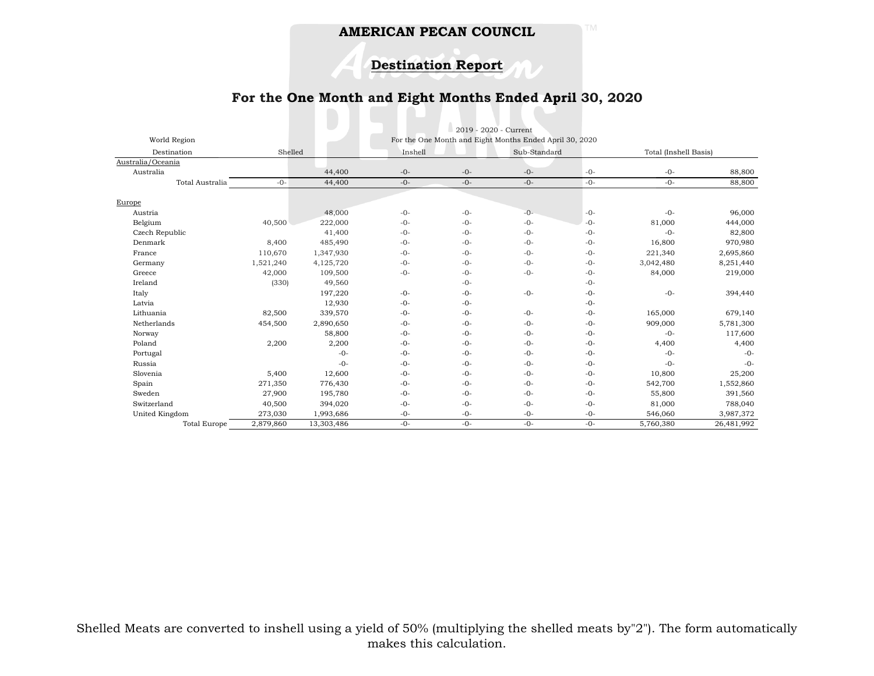**Destination Report**

# **For the One Month and Eight Months Ended April 30, 2020**

|                     |           |            |         | 2019 - 2020 - Current |                                                         |       |                       |            |
|---------------------|-----------|------------|---------|-----------------------|---------------------------------------------------------|-------|-----------------------|------------|
| World Region        |           |            |         |                       | For the One Month and Eight Months Ended April 30, 2020 |       |                       |            |
| Destination         | Shelled   |            | Inshell |                       | Sub-Standard                                            |       | Total (Inshell Basis) |            |
| Australia/Oceania   |           |            |         |                       |                                                         |       |                       |            |
| Australia           |           | 44,400     | $-0-$   | $-0-$                 | $-0-$                                                   | $-0-$ | $-0-$                 | 88,800     |
| Total Australia     | $-0-$     | 44,400     | $-0-$   | $-0-$                 | $-0-$                                                   | $-0-$ | $-0-$                 | 88,800     |
| Europe              |           |            |         |                       |                                                         |       |                       |            |
| Austria             |           | 48,000     | $-0-$   | $-0-$                 | $-0-$                                                   | $-0-$ | $-0-$                 | 96,000     |
| Belgium             | 40,500    | 222,000    | $-0-$   | $-0-$                 | $-0-$                                                   | $-0-$ | 81,000                | 444,000    |
| Czech Republic      |           | 41,400     | $-0-$   | $-0-$                 | $-0-$                                                   | $-0-$ | $-0-$                 | 82,800     |
| Denmark             | 8,400     | 485,490    | $-0-$   | $-0-$                 | $-0-$                                                   | $-0-$ | 16,800                | 970,980    |
| France              | 110,670   | 1,347,930  | $-0-$   | $-0-$                 | $-0-$                                                   | $-0-$ | 221,340               | 2,695,860  |
| Germany             | 1,521,240 | 4,125,720  | $-0-$   | $-0-$                 | $-0-$                                                   | $-0-$ | 3,042,480             | 8,251,440  |
| Greece              | 42,000    | 109,500    | $-0-$   | $-0-$                 | $-0-$                                                   | $-0-$ | 84,000                | 219,000    |
| Ireland             | (330)     | 49,560     |         | $-0-$                 |                                                         | $-0-$ |                       |            |
| Italy               |           | 197,220    | $-0-$   | $-0-$                 | $-0-$                                                   | $-0-$ | $-0-$                 | 394,440    |
| Latvia              |           | 12,930     | $-0-$   | $-0-$                 |                                                         | $-0-$ |                       |            |
| Lithuania           | 82,500    | 339,570    | $-0-$   | $-0-$                 | $-0-$                                                   | $-0-$ | 165,000               | 679,140    |
| Netherlands         | 454,500   | 2,890,650  | $-0-$   | $-0-$                 | $-0-$                                                   | $-0-$ | 909,000               | 5,781,300  |
| Norway              |           | 58,800     | $-0-$   | $-0-$                 | $-0-$                                                   | $-0-$ | $-0-$                 | 117,600    |
| Poland              | 2,200     | 2,200      | $-0-$   | $-0-$                 | $-0-$                                                   | $-0-$ | 4,400                 | 4,400      |
| Portugal            |           | $-0-$      | $-0-$   | $-0-$                 | $-0-$                                                   | $-0-$ | $-0-$                 | $-0-$      |
| Russia              |           | $-0-$      | $-0-$   | $-0-$                 | $-0-$                                                   | $-0-$ | $-0-$                 | $-0-$      |
| Slovenia            | 5,400     | 12,600     | $-0-$   | $-0-$                 | $-0-$                                                   | $-0-$ | 10,800                | 25,200     |
| Spain               | 271,350   | 776,430    | $-0-$   | $-0-$                 | $-0-$                                                   | $-0-$ | 542,700               | 1,552,860  |
| Sweden              | 27,900    | 195,780    | $-0-$   | $-0-$                 | $-0-$                                                   | $-0-$ | 55,800                | 391,560    |
| Switzerland         | 40,500    | 394,020    | $-0-$   | $-0-$                 | $-0-$                                                   | $-0-$ | 81,000                | 788,040    |
| United Kingdom      | 273,030   | 1,993,686  | $-0-$   | $-0-$                 | $-0-$                                                   | $-0-$ | 546,060               | 3,987,372  |
| <b>Total Europe</b> | 2,879,860 | 13,303,486 | $-0-$   | $-0-$                 | $-0-$                                                   | $-0-$ | 5,760,380             | 26,481,992 |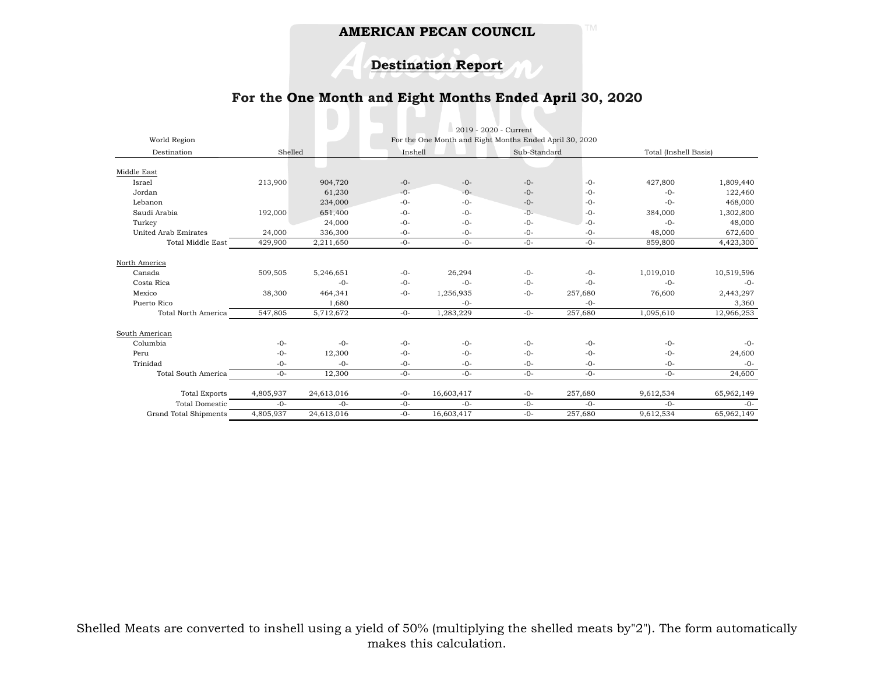# **Destination Report**

# **For the One Month and Eight Months Ended April 30, 2020**

|                             | 2019 - 2020 - Current |            |         |                                                         |       |              |           |                       |  |
|-----------------------------|-----------------------|------------|---------|---------------------------------------------------------|-------|--------------|-----------|-----------------------|--|
| World Region                |                       |            |         | For the One Month and Eight Months Ended April 30, 2020 |       |              |           |                       |  |
| Destination                 |                       | Shelled    |         | Inshell                                                 |       | Sub-Standard |           | Total (Inshell Basis) |  |
|                             |                       |            |         |                                                         |       |              |           |                       |  |
| Middle East                 |                       |            |         |                                                         |       |              |           |                       |  |
| Israel                      | 213,900               | 904,720    | $-0-$   | $-0-$                                                   | $-0-$ | $-0-$        | 427,800   | 1,809,440             |  |
| Jordan                      |                       | 61,230     | $-() -$ | $-()$ -                                                 | $-0-$ | $-0-$        | $-0-$     | 122,460               |  |
| Lebanon                     |                       | 234,000    | $-0-$   | $-0-$                                                   | $-0-$ | $-0-$        | $-0-$     | 468,000               |  |
| Saudi Arabia                | 192,000               | 651,400    | $-0-$   | $-0-$                                                   | $-0-$ | $-0-$        | 384,000   | 1,302,800             |  |
| Turkey                      |                       | 24,000     | $-0-$   | $-0-$                                                   | $-0-$ | $-0-$        | $-0-$     | 48,000                |  |
| <b>United Arab Emirates</b> | 24,000                | 336,300    | $-0-$   | $-0-$                                                   | $-0-$ | $-0-$        | 48,000    | 672,600               |  |
| <b>Total Middle East</b>    | 429,900               | 2,211,650  | $-0-$   | $-0-$                                                   | $-0-$ | $-0-$        | 859,800   | 4,423,300             |  |
| North America               |                       |            |         |                                                         |       |              |           |                       |  |
| Canada                      | 509,505               | 5,246,651  | $-0-$   | 26,294                                                  | $-0-$ | $-0-$        | 1,019,010 | 10,519,596            |  |
| Costa Rica                  |                       | $-0-$      | $-0-$   | $-0-$                                                   | $-0-$ | $-0-$        | $-0-$     | $-0-$                 |  |
| Mexico                      | 38,300                | 464,341    | $-0-$   | 1,256,935                                               | $-0-$ | 257,680      | 76,600    | 2,443,297             |  |
| Puerto Rico                 |                       | 1,680      |         | $-0-$                                                   |       | $-0-$        |           | 3,360                 |  |
| <b>Total North America</b>  | 547,805               | 5,712,672  | $-0-$   | 1,283,229                                               | $-0-$ | 257,680      | 1,095,610 | 12,966,253            |  |
| South American              |                       |            |         |                                                         |       |              |           |                       |  |
| Columbia                    | $-0-$                 | $-0-$      | $-0-$   | $-0-$                                                   | $-0-$ | $-0-$        | $-0-$     | $-0-$                 |  |
| Peru                        | $-0-$                 | 12,300     | $-0-$   | $-0-$                                                   | $-0-$ | $-0-$        | $-0-$     | 24,600                |  |
| Trinidad                    | $-0-$                 | $-0-$      | $-0-$   | $-0-$                                                   | $-0-$ | $-0-$        | $-0-$     | $-0-$                 |  |
| <b>Total South America</b>  | $-0-$                 | 12,300     | $-0-$   | $-0-$                                                   | $-0-$ | $-0-$        | $-0-$     | 24,600                |  |
| <b>Total Exports</b>        | 4,805,937             | 24,613,016 | $-0-$   | 16,603,417                                              | $-0-$ | 257,680      | 9,612,534 | 65,962,149            |  |
| <b>Total Domestic</b>       | $-()$ -               | $-()$ -    | $-0-$   | $-()$ -                                                 | $-0-$ | $-()$ -      | $-0-$     | $-0-$                 |  |
| Grand Total Shipments       | 4,805,937             | 24,613,016 | $-0-$   | 16,603,417                                              | $-0-$ | 257,680      | 9,612,534 | 65,962,149            |  |